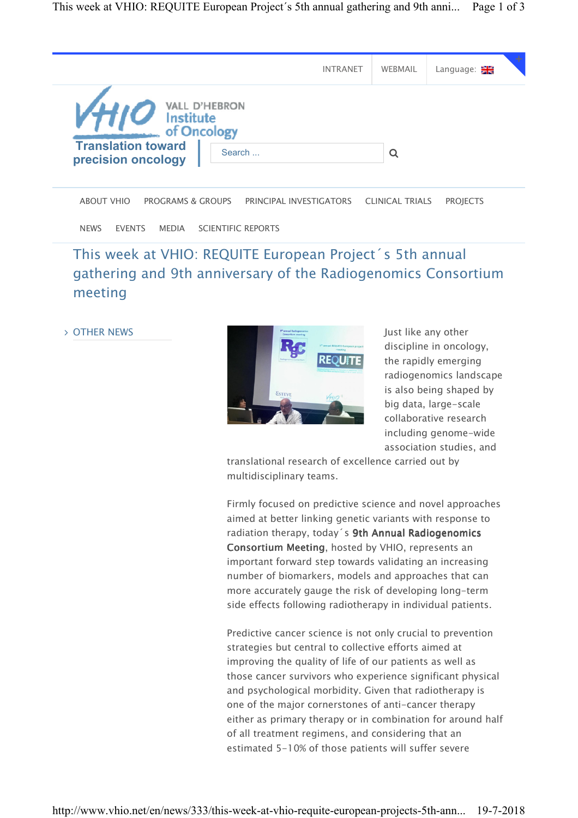|                                                 |                                     | <b>INTRANET</b> | WEBMAIL | Language: <del>기</del> |
|-------------------------------------------------|-------------------------------------|-----------------|---------|------------------------|
| Institute                                       | <b>VALL D'HEBRON</b><br>of Oncology |                 |         |                        |
| <b>Translation toward</b><br>precision oncology | Search                              |                 |         |                        |

ABOUT VHIO PROGRAMS & GROUPS PRINCIPAL INVESTIGATORS CLINICAL TRIALS PROJECTS

NEWS EVENTS MEDIA SCIENTIFIC REPORTS

## This week at VHIO: REQUITE European Project´s 5th annual gathering and 9th anniversary of the Radiogenomics Consortium meeting

OTHER NEWS



Just like any other discipline in oncology, the rapidly emerging radiogenomics landscape is also being shaped by big data, large-scale collaborative research including genome-wide association studies, and

translational research of excellence carried out by multidisciplinary teams.

Firmly focused on predictive science and novel approaches aimed at better linking genetic variants with response to radiation therapy, today's 9th Annual Radiogenomics Consortium Meeting, hosted by VHIO, represents an important forward step towards validating an increasing number of biomarkers, models and approaches that can more accurately gauge the risk of developing long-term side effects following radiotherapy in individual patients.

Predictive cancer science is not only crucial to prevention strategies but central to collective efforts aimed at improving the quality of life of our patients as well as those cancer survivors who experience significant physical and psychological morbidity. Given that radiotherapy is one of the major cornerstones of anti-cancer therapy either as primary therapy or in combination for around half of all treatment regimens, and considering that an estimated 5-10% of those patients will suffer severe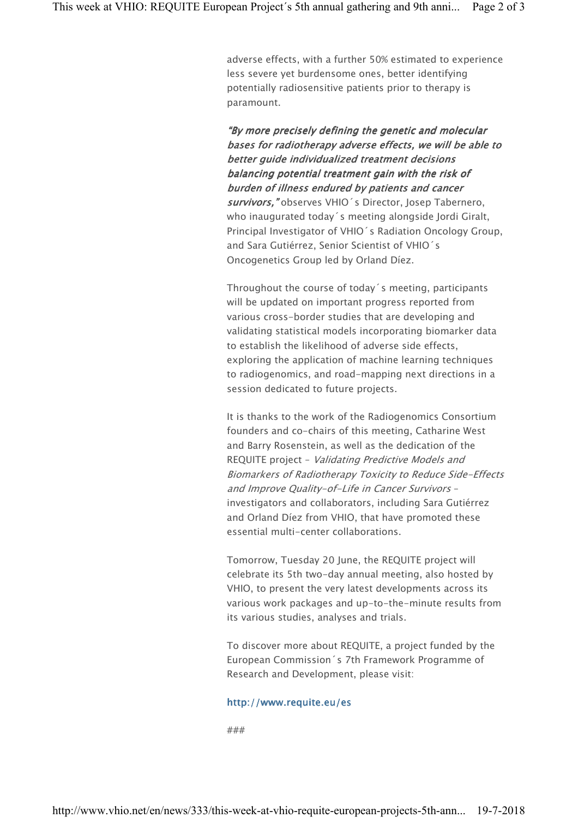adverse effects, with a further 50% estimated to experience less severe yet burdensome ones, better identifying potentially radiosensitive patients prior to therapy is paramount.

"By more precisely defining the genetic and molecular bases for radiotherapy adverse effects, we will be able to better guide individualized treatment decisions balancing potential treatment gain with the risk of burden of illness endured by patients and cancer survivors," observes VHIO's Director, Josep Tabernero, who inaugurated today´s meeting alongside Jordi Giralt, Principal Investigator of VHIO´s Radiation Oncology Group, and Sara Gutiérrez, Senior Scientist of VHIO´s Oncogenetics Group led by Orland Díez.

Throughout the course of today´s meeting, participants will be updated on important progress reported from various cross-border studies that are developing and validating statistical models incorporating biomarker data to establish the likelihood of adverse side effects, exploring the application of machine learning techniques to radiogenomics, and road-mapping next directions in a session dedicated to future projects.

It is thanks to the work of the Radiogenomics Consortium founders and co-chairs of this meeting, Catharine West and Barry Rosenstein, as well as the dedication of the REQUITE project – Validating Predictive Models and Biomarkers of Radiotherapy Toxicity to Reduce Side-Effects and Improve Quality-of-Life in Cancer Survivors – investigators and collaborators, including Sara Gutiérrez and Orland Díez from VHIO, that have promoted these essential multi-center collaborations.

Tomorrow, Tuesday 20 June, the REQUITE project will celebrate its 5th two-day annual meeting, also hosted by VHIO, to present the very latest developments across its various work packages and up-to-the-minute results from its various studies, analyses and trials.

To discover more about REQUITE, a project funded by the European Commission´s 7th Framework Programme of Research and Development, please visit:

## http://www.requite.eu/es

###